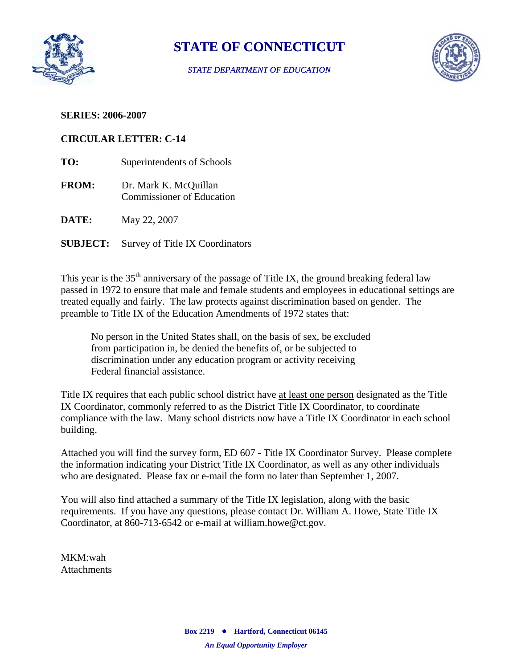

# **STATE OF CONNECTICUT**

*STATE DEPARTMENT OF EDUCATION*



#### **SERIES: 2006-2007**

## **CIRCULAR LETTER: C-14**

**TO:** Superintendents of Schools

**FROM:** Dr. Mark K. McQuillan Commissioner of Education

**DATE:** May 22, 2007

**SUBJECT:** Survey of Title IX Coordinators

This year is the  $35<sup>th</sup>$  anniversary of the passage of Title IX, the ground breaking federal law passed in 1972 to ensure that male and female students and employees in educational settings are treated equally and fairly. The law protects against discrimination based on gender. The preamble to Title IX of the Education Amendments of 1972 states that:

No person in the United States shall, on the basis of sex, be excluded from participation in, be denied the benefits of, or be subjected to discrimination under any education program or activity receiving Federal financial assistance.

Title IX requires that each public school district have at least one person designated as the Title IX Coordinator, commonly referred to as the District Title IX Coordinator, to coordinate compliance with the law. Many school districts now have a Title IX Coordinator in each school building.

Attached you will find the survey form, ED 607 - Title IX Coordinator Survey. Please complete the information indicating your District Title IX Coordinator, as well as any other individuals who are designated. Please fax or e-mail the form no later than September 1, 2007.

You will also find attached a summary of the Title IX legislation, along with the basic requirements. If you have any questions, please contact Dr. William A. Howe, State Title IX Coordinator, at 860-713-6542 or e-mail at william.howe@ct.gov.

MKM:wah **Attachments**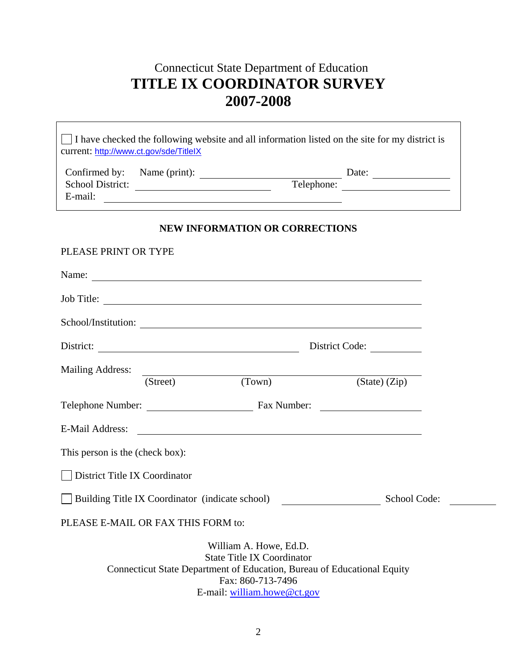# Connecticut State Department of Education **TITLE IX COORDINATOR SURVEY 2007-2008**

| current: http://www.ct.gov/sde/TitlelX |                                                                                                |                                                             | $\Box$ I have checked the following website and all information listed on the site for my district is |  |
|----------------------------------------|------------------------------------------------------------------------------------------------|-------------------------------------------------------------|-------------------------------------------------------------------------------------------------------|--|
|                                        |                                                                                                |                                                             |                                                                                                       |  |
|                                        | School District:                                                                               |                                                             | Confirmed by: Name (print): Date: Date: Date: Date:                                                   |  |
| E-mail:                                |                                                                                                | <u> 1989 - Johann Barnett, fransk politik (d. 1989)</u>     |                                                                                                       |  |
|                                        |                                                                                                | <b>NEW INFORMATION OR CORRECTIONS</b>                       |                                                                                                       |  |
| PLEASE PRINT OR TYPE                   |                                                                                                |                                                             |                                                                                                       |  |
|                                        |                                                                                                |                                                             |                                                                                                       |  |
|                                        |                                                                                                |                                                             |                                                                                                       |  |
|                                        |                                                                                                |                                                             | School/Institution:                                                                                   |  |
|                                        | District Code:                                                                                 |                                                             |                                                                                                       |  |
| <b>Mailing Address:</b>                |                                                                                                | (Town) (Town)                                               |                                                                                                       |  |
|                                        | (Street)                                                                                       |                                                             | (State) (Zip)                                                                                         |  |
|                                        |                                                                                                |                                                             |                                                                                                       |  |
|                                        |                                                                                                |                                                             | E-Mail Address:                                                                                       |  |
| This person is the (check box):        |                                                                                                |                                                             |                                                                                                       |  |
| District Title IX Coordinator          |                                                                                                |                                                             |                                                                                                       |  |
|                                        | Building Title IX Coordinator (indicate school) _________________________________ School Code: |                                                             |                                                                                                       |  |
|                                        | PLEASE E-MAIL OR FAX THIS FORM to:                                                             |                                                             |                                                                                                       |  |
|                                        |                                                                                                | William A. Howe, Ed.D.<br><b>State Title IX Coordinator</b> |                                                                                                       |  |

Connecticut State Department of Education, Bureau of Educational Equity Fax: 860-713-7496 E-mail: william.howe@ct.gov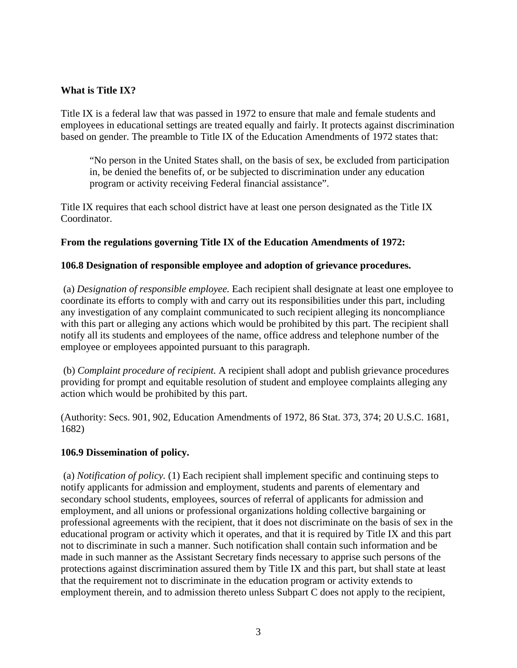#### **What is Title IX?**

Title IX is a federal law that was passed in 1972 to ensure that male and female students and employees in educational settings are treated equally and fairly. It protects against discrimination based on gender. The preamble to Title IX of the Education Amendments of 1972 states that:

"No person in the United States shall, on the basis of sex, be excluded from participation in, be denied the benefits of, or be subjected to discrimination under any education program or activity receiving Federal financial assistance".

Title IX requires that each school district have at least one person designated as the Title IX Coordinator.

#### **From the regulations governing Title IX of the Education Amendments of 1972:**

#### **106.8 Designation of responsible employee and adoption of grievance procedures.**

 (a) *Designation of responsible employee.* Each recipient shall designate at least one employee to coordinate its efforts to comply with and carry out its responsibilities under this part, including any investigation of any complaint communicated to such recipient alleging its noncompliance with this part or alleging any actions which would be prohibited by this part. The recipient shall notify all its students and employees of the name, office address and telephone number of the employee or employees appointed pursuant to this paragraph.

 (b) *Complaint procedure of recipient.* A recipient shall adopt and publish grievance procedures providing for prompt and equitable resolution of student and employee complaints alleging any action which would be prohibited by this part.

(Authority: Secs. 901, 902, Education Amendments of 1972, 86 Stat. 373, 374; 20 U.S.C. 1681, 1682)

### **106.9 Dissemination of policy.**

 (a) *Notification of policy.* (1) Each recipient shall implement specific and continuing steps to notify applicants for admission and employment, students and parents of elementary and secondary school students, employees, sources of referral of applicants for admission and employment, and all unions or professional organizations holding collective bargaining or professional agreements with the recipient, that it does not discriminate on the basis of sex in the educational program or activity which it operates, and that it is required by Title IX and this part not to discriminate in such a manner. Such notification shall contain such information and be made in such manner as the Assistant Secretary finds necessary to apprise such persons of the protections against discrimination assured them by Title IX and this part, but shall state at least that the requirement not to discriminate in the education program or activity extends to employment therein, and to admission thereto unless Subpart C does not apply to the recipient,